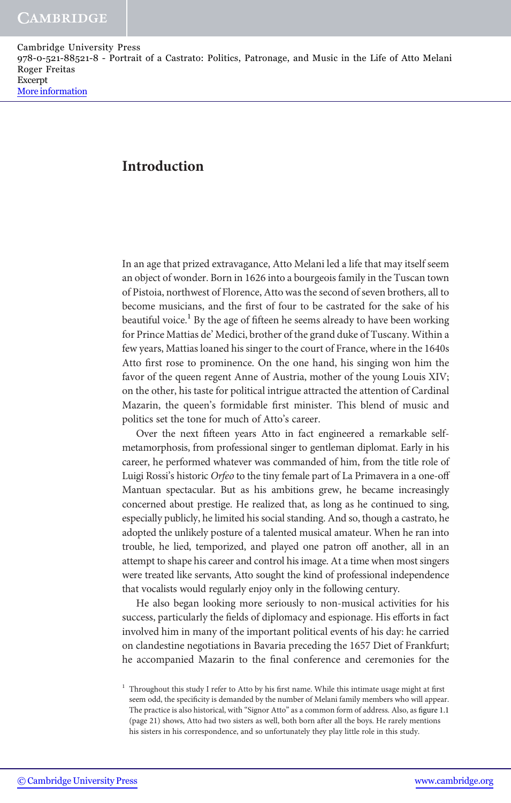# Introduction

In an age that prized extravagance, Atto Melani led a life that may itself seem an object of wonder. Born in 1626 into a bourgeois family in the Tuscan town of Pistoia, northwest of Florence, Atto was the second of seven brothers, all to become musicians, and the first of four to be castrated for the sake of his beautiful voice.<sup>1</sup> By the age of fifteen he seems already to have been working for Prince Mattias de' Medici, brother of the grand duke of Tuscany. Within a few years, Mattias loaned his singer to the court of France, where in the 1640s Atto first rose to prominence. On the one hand, his singing won him the favor of the queen regent Anne of Austria, mother of the young Louis XIV; on the other, his taste for political intrigue attracted the attention of Cardinal Mazarin, the queen's formidable first minister. This blend of music and politics set the tone for much of Atto's career.

Over the next fifteen years Atto in fact engineered a remarkable selfmetamorphosis, from professional singer to gentleman diplomat. Early in his career, he performed whatever was commanded of him, from the title role of Luigi Rossi's historic Orfeo to the tiny female part of La Primavera in a one-off Mantuan spectacular. But as his ambitions grew, he became increasingly concerned about prestige. He realized that, as long as he continued to sing, especially publicly, he limited his social standing. And so, though a castrato, he adopted the unlikely posture of a talented musical amateur. When he ran into trouble, he lied, temporized, and played one patron off another, all in an attempt to shape his career and control his image. At a time when most singers were treated like servants, Atto sought the kind of professional independence that vocalists would regularly enjoy only in the following century.

He also began looking more seriously to non-musical activities for his success, particularly the fields of diplomacy and espionage. His efforts in fact involved him in many of the important political events of his day: he carried on clandestine negotiations in Bavaria preceding the 1657 Diet of Frankfurt; he accompanied Mazarin to the final conference and ceremonies for the

 $1$  Throughout this study I refer to Atto by his first name. While this intimate usage might at first seem odd, the specificity is demanded by the number of Melani family members who will appear. The practice is also historical, with "Signor Atto" as a common form of address. Also, as figure 1.1 (page 21) shows, Atto had two sisters as well, both born after all the boys. He rarely mentions his sisters in his correspondence, and so unfortunately they play little role in this study.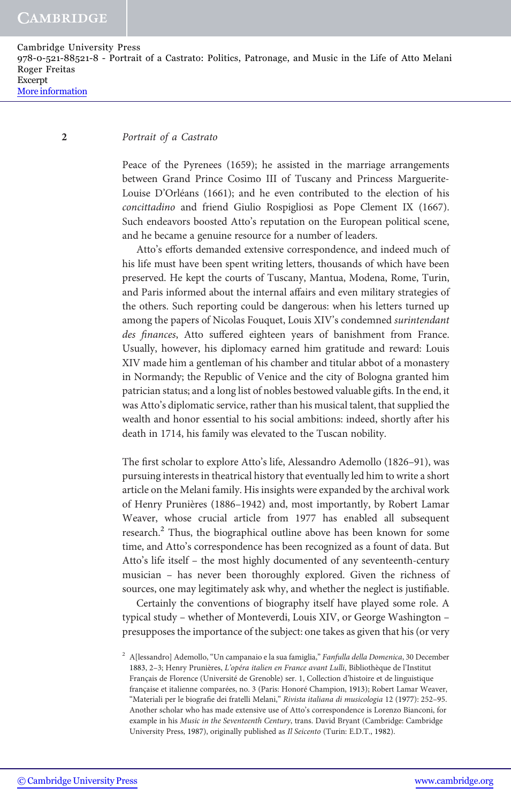## 2 Portrait of a Castrato

Peace of the Pyrenees (1659); he assisted in the marriage arrangements between Grand Prince Cosimo III of Tuscany and Princess Marguerite-Louise D'Orléans (1661); and he even contributed to the election of his concittadino and friend Giulio Rospigliosi as Pope Clement IX (1667). Such endeavors boosted Atto's reputation on the European political scene, and he became a genuine resource for a number of leaders.

Atto's efforts demanded extensive correspondence, and indeed much of his life must have been spent writing letters, thousands of which have been preserved. He kept the courts of Tuscany, Mantua, Modena, Rome, Turin, and Paris informed about the internal affairs and even military strategies of the others. Such reporting could be dangerous: when his letters turned up among the papers of Nicolas Fouquet, Louis XIV's condemned *surintendant* des finances, Atto suffered eighteen years of banishment from France. Usually, however, his diplomacy earned him gratitude and reward: Louis XIV made him a gentleman of his chamber and titular abbot of a monastery in Normandy; the Republic of Venice and the city of Bologna granted him patrician status; and a long list of nobles bestowed valuable gifts. In the end, it was Atto's diplomatic service, rather than his musical talent, that supplied the wealth and honor essential to his social ambitions: indeed, shortly after his death in 1714, his family was elevated to the Tuscan nobility.

The first scholar to explore Atto's life, Alessandro Ademollo (1826–91), was pursuing interests in theatrical history that eventually led him to write a short article on the Melani family. His insights were expanded by the archival work of Henry Prunières (1886–1942) and, most importantly, by Robert Lamar Weaver, whose crucial article from 1977 has enabled all subsequent research.<sup>2</sup> Thus, the biographical outline above has been known for some time, and Atto's correspondence has been recognized as a fount of data. But Atto's life itself – the most highly documented of any seventeenth-century musician – has never been thoroughly explored. Given the richness of sources, one may legitimately ask why, and whether the neglect is justifiable.

Certainly the conventions of biography itself have played some role. A typical study – whether of Monteverdi, Louis XIV, or George Washington – presupposes the importance of the subject: one takes as given that his (or very

<sup>&</sup>lt;sup>2</sup> A[lessandro] Ademollo, "Un campanaio e la sua famiglia," Fanfulla della Domenica, 30 December 1883, 2–3; Henry Prunières, L'opéra italien en France avant Lulli, Bibliothèque de l'Institut Français de Florence (Université de Grenoble) ser. 1, Collection d'histoire et de linguistique française et italienne comparées, no. 3 (Paris: Honoré Champion, 1913); Robert Lamar Weaver, "Materiali per le biografie dei fratelli Melani," Rivista italiana di musicologia 12 (1977): 252–95. Another scholar who has made extensive use of Atto's correspondence is Lorenzo Bianconi, for example in his Music in the Seventeenth Century, trans. David Bryant (Cambridge: Cambridge University Press, 1987), originally published as Il Seicento (Turin: E.D.T., 1982).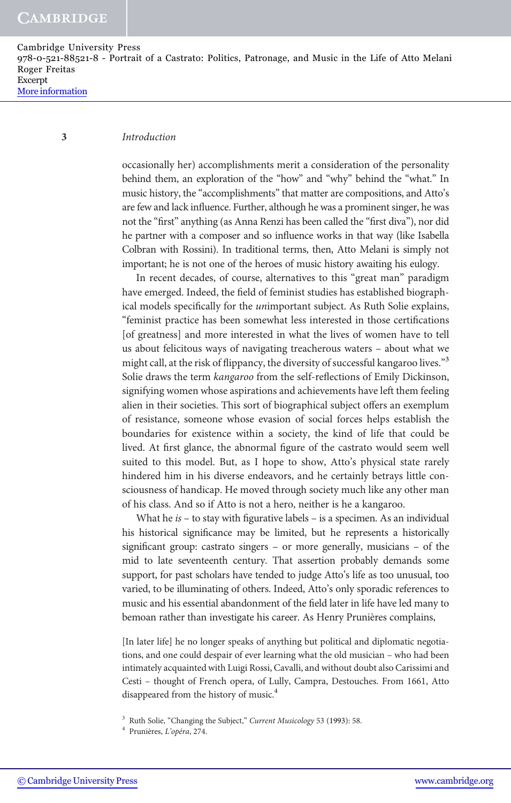#### 3 Introduction

occasionally her) accomplishments merit a consideration of the personality behind them, an exploration of the "how" and "why" behind the "what." In music history, the "accomplishments" that matter are compositions, and Atto's are few and lack influence. Further, although he was a prominent singer, he was not the "first" anything (as Anna Renzi has been called the "first diva"), nor did he partner with a composer and so influence works in that way (like Isabella Colbran with Rossini). In traditional terms, then, Atto Melani is simply not important; he is not one of the heroes of music history awaiting his eulogy.

In recent decades, of course, alternatives to this "great man" paradigm have emerged. Indeed, the field of feminist studies has established biographical models specifically for the unimportant subject. As Ruth Solie explains, "feminist practice has been somewhat less interested in those certifications [of greatness] and more interested in what the lives of women have to tell us about felicitous ways of navigating treacherous waters – about what we might call, at the risk of flippancy, the diversity of successful kangaroo lives."<sup>3</sup> Solie draws the term kangaroo from the self-reflections of Emily Dickinson, signifying women whose aspirations and achievements have left them feeling alien in their societies. This sort of biographical subject offers an exemplum of resistance, someone whose evasion of social forces helps establish the boundaries for existence within a society, the kind of life that could be lived. At first glance, the abnormal figure of the castrato would seem well suited to this model. But, as I hope to show, Atto's physical state rarely hindered him in his diverse endeavors, and he certainly betrays little consciousness of handicap. He moved through society much like any other man of his class. And so if Atto is not a hero, neither is he a kangaroo.

What he  $is$  – to stay with figurative labels – is a specimen. As an individual his historical significance may be limited, but he represents a historically significant group: castrato singers – or more generally, musicians – of the mid to late seventeenth century. That assertion probably demands some support, for past scholars have tended to judge Atto's life as too unusual, too varied, to be illuminating of others. Indeed, Atto's only sporadic references to music and his essential abandonment of the field later in life have led many to bemoan rather than investigate his career. As Henry Prunières complains,

[In later life] he no longer speaks of anything but political and diplomatic negotiations, and one could despair of ever learning what the old musician – who had been intimately acquainted with Luigi Rossi, Cavalli, and without doubt also Carissimi and Cesti – thought of French opera, of Lully, Campra, Destouches. From 1661, Atto disappeared from the history of music.<sup>4</sup>

<sup>3</sup> Ruth Solie, "Changing the Subject," Current Musicology 53 (1993): 58.

<sup>4</sup> Prunières, L'opéra, 274.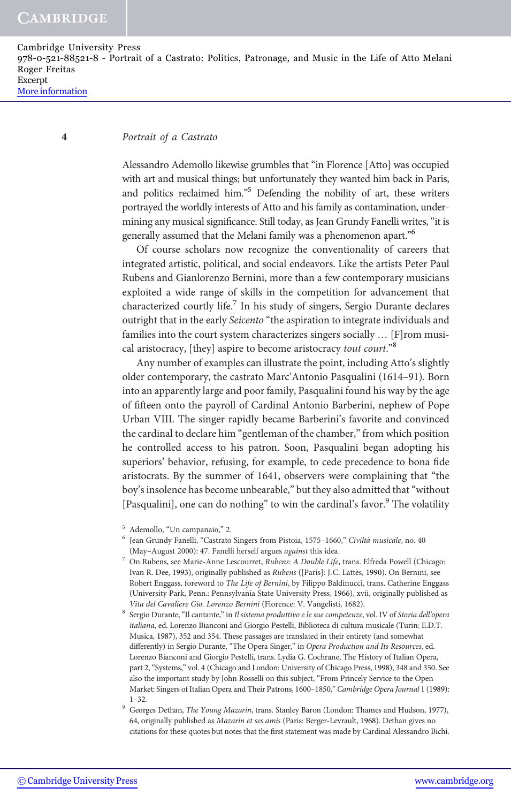## 4 Portrait of a Castrato

Alessandro Ademollo likewise grumbles that "in Florence [Atto] was occupied with art and musical things; but unfortunately they wanted him back in Paris, and politics reclaimed him." <sup>5</sup> Defending the nobility of art, these writers portrayed the worldly interests of Atto and his family as contamination, undermining any musical significance. Still today, as Jean Grundy Fanelli writes, "it is generally assumed that the Melani family was a phenomenon apart."<sup>6</sup>

Of course scholars now recognize the conventionality of careers that integrated artistic, political, and social endeavors. Like the artists Peter Paul Rubens and Gianlorenzo Bernini, more than a few contemporary musicians exploited a wide range of skills in the competition for advancement that characterized courtly life.<sup>7</sup> In his study of singers, Sergio Durante declares outright that in the early Seicento "the aspiration to integrate individuals and families into the court system characterizes singers socially … [F]rom musical aristocracy, [they] aspire to become aristocracy tout court."<sup>8</sup>

Any number of examples can illustrate the point, including Atto's slightly older contemporary, the castrato Marc'Antonio Pasqualini (1614–91). Born into an apparently large and poor family, Pasqualini found his way by the age of fifteen onto the payroll of Cardinal Antonio Barberini, nephew of Pope Urban VIII. The singer rapidly became Barberini's favorite and convinced the cardinal to declare him "gentleman of the chamber," from which position he controlled access to his patron. Soon, Pasqualini began adopting his superiors' behavior, refusing, for example, to cede precedence to bona fide aristocrats. By the summer of 1641, observers were complaining that "the boy's insolence has become unbearable," but they also admitted that "without [Pasqualini], one can do nothing" to win the cardinal's favor.<sup>9</sup> The volatility

<sup>5</sup> Ademollo, "Un campanaio," 2.

<sup>6</sup> Jean Grundy Fanelli, "Castrato Singers from Pistoia, 1575–1660," Civiltà musicale, no. 40 (May–August 2000): 47. Fanelli herself argues against this idea.

<sup>7</sup> On Rubens, see Marie-Anne Lescourret, Rubens: A Double Life, trans. Elfreda Powell (Chicago: Ivan R. Dee, 1993), originally published as Rubens ([Paris]: J.C. Lattès, 1990). On Bernini, see Robert Enggass, foreword to The Life of Bernini, by Filippo Baldinucci, trans. Catherine Enggass (University Park, Penn.: Pennsylvania State University Press, 1966), xvii, originally published as Vita del Cavaliere Gio. Lorenzo Bernini (Florence: V. Vangelisti, 1682).

 $^8\,$  Sergio Durante, "Il cantante," in Il sistema produttivo e le sue competenze, vol. IV of Storia dell'opera italiana, ed. Lorenzo Bianconi and Giorgio Pestelli, Biblioteca di cultura musicale (Turin: E.D.T. Musica, 1987), 352 and 354. These passages are translated in their entirety (and somewhat differently) in Sergio Durante, "The Opera Singer," in Opera Production and Its Resources, ed. Lorenzo Bianconi and Giorgio Pestelli, trans. Lydia G. Cochrane, The History of Italian Opera, part 2, "Systems," vol. 4 (Chicago and London: University of Chicago Press, 1998), 348 and 350. See also the important study by John Rosselli on this subject, "From Princely Service to the Open Market: Singers of Italian Opera and Their Patrons, 1600–1850," Cambridge Opera Journal 1 (1989): 1–32.

 $^9\,$  Georges Dethan, The Young Mazarin, trans. Stanley Baron (London: Thames and Hudson, 1977), 64, originally published as Mazarin et ses amis (Paris: Berger-Levrault, 1968). Dethan gives no citations for these quotes but notes that the first statement was made by Cardinal Alessandro Bichi.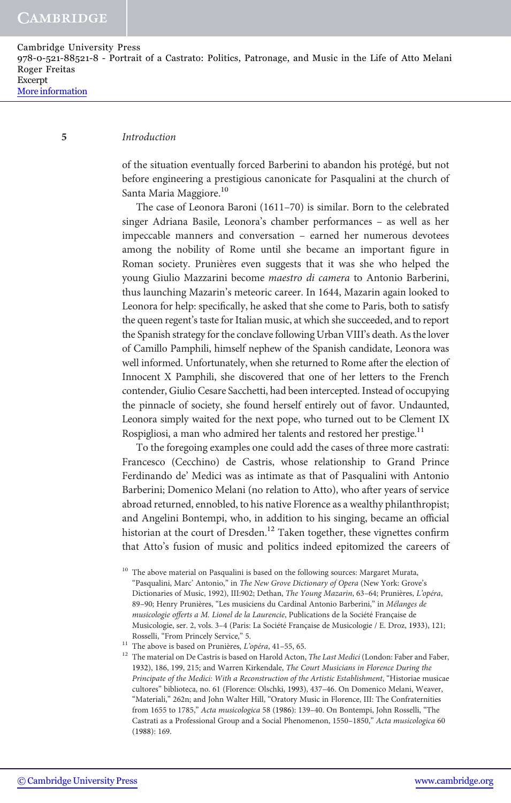#### 5 Introduction

of the situation eventually forced Barberini to abandon his protégé, but not before engineering a prestigious canonicate for Pasqualini at the church of Santa Maria Maggiore.<sup>10</sup>

The case of Leonora Baroni (1611–70) is similar. Born to the celebrated singer Adriana Basile, Leonora's chamber performances – as well as her impeccable manners and conversation – earned her numerous devotees among the nobility of Rome until she became an important figure in Roman society. Prunières even suggests that it was she who helped the young Giulio Mazzarini become maestro di camera to Antonio Barberini, thus launching Mazarin's meteoric career. In 1644, Mazarin again looked to Leonora for help: specifically, he asked that she come to Paris, both to satisfy the queen regent's taste for Italian music, at which she succeeded, and to report the Spanish strategy for the conclave following Urban VIII's death. As the lover of Camillo Pamphili, himself nephew of the Spanish candidate, Leonora was well informed. Unfortunately, when she returned to Rome after the election of Innocent X Pamphili, she discovered that one of her letters to the French contender, Giulio Cesare Sacchetti, had been intercepted. Instead of occupying the pinnacle of society, she found herself entirely out of favor. Undaunted, Leonora simply waited for the next pope, who turned out to be Clement IX Rospigliosi, a man who admired her talents and restored her prestige.<sup>11</sup>

To the foregoing examples one could add the cases of three more castrati: Francesco (Cecchino) de Castris, whose relationship to Grand Prince Ferdinando de' Medici was as intimate as that of Pasqualini with Antonio Barberini; Domenico Melani (no relation to Atto), who after years of service abroad returned, ennobled, to his native Florence as a wealthy philanthropist; and Angelini Bontempi, who, in addition to his singing, became an official historian at the court of Dresden.<sup>12</sup> Taken together, these vignettes confirm that Atto's fusion of music and politics indeed epitomized the careers of

 $^{10}\,$  The above material on Pasqualini is based on the following sources: Margaret Murata, "Pasqualini, Marc' Antonio," in The New Grove Dictionary of Opera (New York: Grove's Dictionaries of Music, 1992), III:902; Dethan, The Young Mazarin, 63–64; Prunières, L'opéra, 89–90; Henry Prunières, "Les musiciens du Cardinal Antonio Barberini," in Mélanges de musicologie offerts a M. Lionel de la Laurencie, Publications de la Société Française de Musicologie, ser. 2, vols. 3–4 (Paris: La Société Française de Musicologie / E. Droz, 1933), 121; Rosselli, "From Princely Service," 5.

<sup>&</sup>lt;sup>11</sup> The above is based on Prunières,  $L'opéra$ , 41-55, 65.

 $^{12}\,$  The material on De Castris is based on Harold Acton, The Last Medici (London: Faber and Faber, 1932), 186, 199, 215; and Warren Kirkendale, The Court Musicians in Florence During the Principate of the Medici: With a Reconstruction of the Artistic Establishment, "Historiae musicae cultores" biblioteca, no. 61 (Florence: Olschki, 1993), 437–46. On Domenico Melani, Weaver, "Materiali," 262n; and John Walter Hill, "Oratory Music in Florence, III: The Confraternities from 1655 to 1785," Acta musicologica 58 (1986): 139–40. On Bontempi, John Rosselli, "The Castrati as a Professional Group and a Social Phenomenon, 1550–1850," Acta musicologica 60 (1988): 169.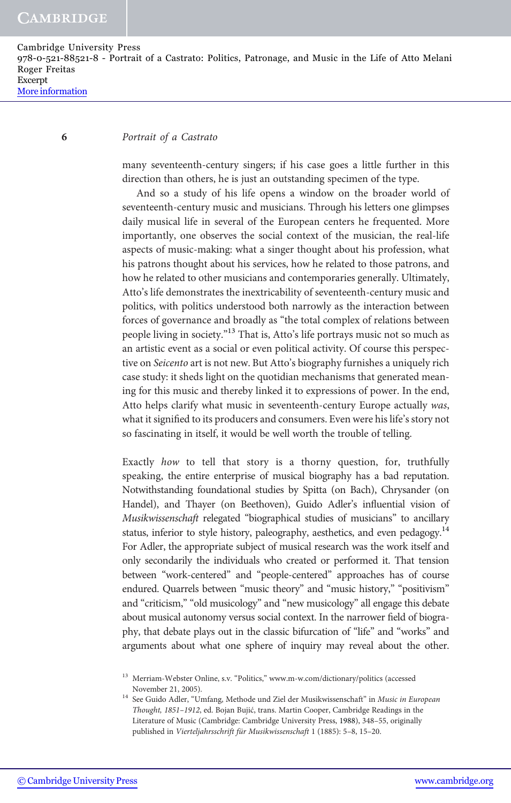## 6 Portrait of a Castrato

many seventeenth-century singers; if his case goes a little further in this direction than others, he is just an outstanding specimen of the type.

And so a study of his life opens a window on the broader world of seventeenth-century music and musicians. Through his letters one glimpses daily musical life in several of the European centers he frequented. More importantly, one observes the social context of the musician, the real-life aspects of music-making: what a singer thought about his profession, what his patrons thought about his services, how he related to those patrons, and how he related to other musicians and contemporaries generally. Ultimately, Atto's life demonstrates the inextricability of seventeenth-century music and politics, with politics understood both narrowly as the interaction between forces of governance and broadly as "the total complex of relations between people living in society."<sup>13</sup> That is, Atto's life portrays music not so much as an artistic event as a social or even political activity. Of course this perspective on Seicento art is not new. But Atto's biography furnishes a uniquely rich case study: it sheds light on the quotidian mechanisms that generated meaning for this music and thereby linked it to expressions of power. In the end, Atto helps clarify what music in seventeenth-century Europe actually was, what it signified to its producers and consumers. Even were his life's story not so fascinating in itself, it would be well worth the trouble of telling.

Exactly how to tell that story is a thorny question, for, truthfully speaking, the entire enterprise of musical biography has a bad reputation. Notwithstanding foundational studies by Spitta (on Bach), Chrysander (on Handel), and Thayer (on Beethoven), Guido Adler's influential vision of Musikwissenschaft relegated "biographical studies of musicians" to ancillary status, inferior to style history, paleography, aesthetics, and even pedagogy.<sup>14</sup> For Adler, the appropriate subject of musical research was the work itself and only secondarily the individuals who created or performed it. That tension between "work-centered" and "people-centered" approaches has of course endured. Quarrels between "music theory" and "music history," "positivism" and "criticism," "old musicology" and "new musicology" all engage this debate about musical autonomy versus social context. In the narrower field of biography, that debate plays out in the classic bifurcation of "life" and "works" and arguments about what one sphere of inquiry may reveal about the other.

<sup>&</sup>lt;sup>13</sup> Merriam-Webster Online, s.v. "Politics," www.m-w.com/dictionary/politics (accessed November 21, 2005).

 $^{14}\,$  See Guido Adler, "Umfang, Methode und Ziel der Musikwissenschaft" in Music in European Thought, 1851–1912, ed. Bojan Bujić, trans. Martin Cooper, Cambridge Readings in the Literature of Music (Cambridge: Cambridge University Press, 1988), 348–55, originally published in Vierteljahrsschrift für Musikwissenschaft 1 (1885): 5–8, 15–20.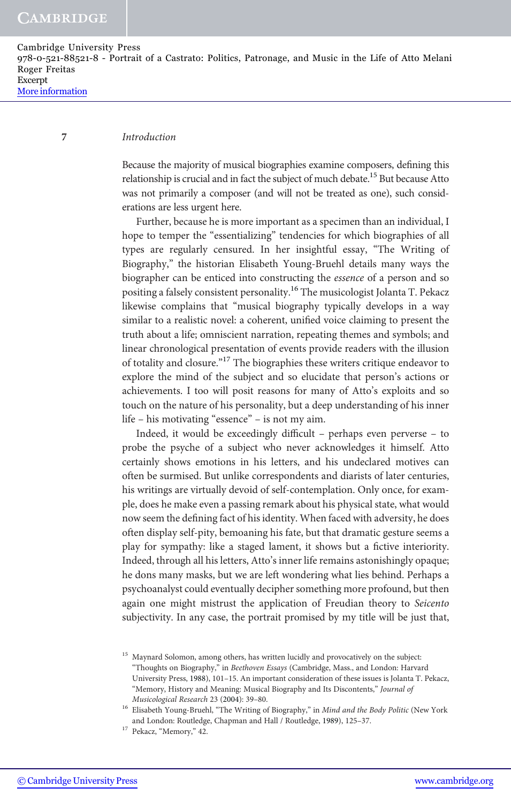#### 7 Introduction

Because the majority of musical biographies examine composers, defining this relationship is crucial and in fact the subject of much debate.<sup>15</sup> But because Atto was not primarily a composer (and will not be treated as one), such considerations are less urgent here.

Further, because he is more important as a specimen than an individual, I hope to temper the "essentializing" tendencies for which biographies of all types are regularly censured. In her insightful essay, "The Writing of Biography," the historian Elisabeth Young-Bruehl details many ways the biographer can be enticed into constructing the essence of a person and so positing a falsely consistent personality.<sup>16</sup> The musicologist Jolanta T. Pekacz likewise complains that "musical biography typically develops in a way similar to a realistic novel: a coherent, unified voice claiming to present the truth about a life; omniscient narration, repeating themes and symbols; and linear chronological presentation of events provide readers with the illusion of totality and closure."<sup>17</sup> The biographies these writers critique endeavor to explore the mind of the subject and so elucidate that person's actions or achievements. I too will posit reasons for many of Atto's exploits and so touch on the nature of his personality, but a deep understanding of his inner life – his motivating "essence" – is not my aim.

Indeed, it would be exceedingly difficult – perhaps even perverse – to probe the psyche of a subject who never acknowledges it himself. Atto certainly shows emotions in his letters, and his undeclared motives can often be surmised. But unlike correspondents and diarists of later centuries, his writings are virtually devoid of self-contemplation. Only once, for example, does he make even a passing remark about his physical state, what would now seem the defining fact of his identity. When faced with adversity, he does often display self-pity, bemoaning his fate, but that dramatic gesture seems a play for sympathy: like a staged lament, it shows but a fictive interiority. Indeed, through all his letters, Atto's inner life remains astonishingly opaque; he dons many masks, but we are left wondering what lies behind. Perhaps a psychoanalyst could eventually decipher something more profound, but then again one might mistrust the application of Freudian theory to Seicento subjectivity. In any case, the portrait promised by my title will be just that,

 $^{15}\,$  Maynard Solomon, among others, has written lucidly and provocatively on the subject: "Thoughts on Biography," in Beethoven Essays (Cambridge, Mass., and London: Harvard University Press, 1988), 101–15. An important consideration of these issues is Jolanta T. Pekacz, "Memory, History and Meaning: Musical Biography and Its Discontents," Journal of Musicological Research 23 (2004): 39–80.

<sup>&</sup>lt;sup>16</sup> Elisabeth Young-Bruehl, "The Writing of Biography," in *Mind and the Body Politic* (New York and London: Routledge, Chapman and Hall / Routledge, 1989), 125–37.

<sup>&</sup>lt;sup>17</sup> Pekacz, "Memory," 42.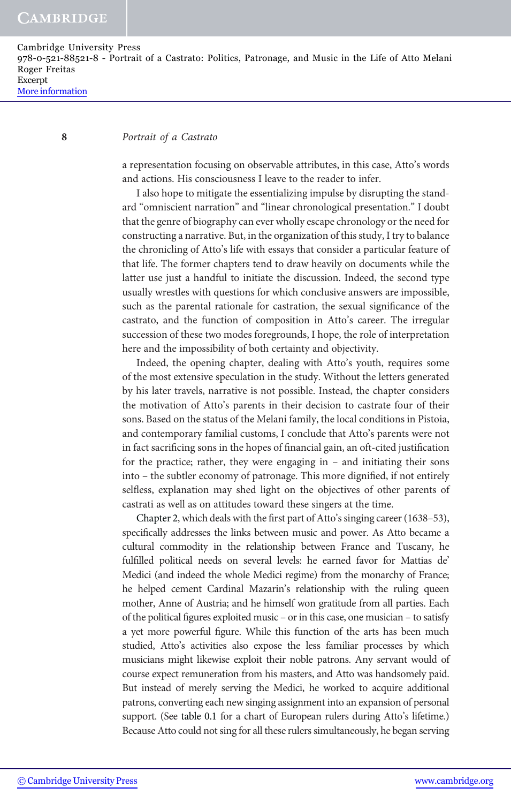### 8 Portrait of a Castrato

a representation focusing on observable attributes, in this case, Atto's words and actions. His consciousness I leave to the reader to infer.

I also hope to mitigate the essentializing impulse by disrupting the standard "omniscient narration" and "linear chronological presentation." I doubt that the genre of biography can ever wholly escape chronology or the need for constructing a narrative. But, in the organization of this study, I try to balance the chronicling of Atto's life with essays that consider a particular feature of that life. The former chapters tend to draw heavily on documents while the latter use just a handful to initiate the discussion. Indeed, the second type usually wrestles with questions for which conclusive answers are impossible, such as the parental rationale for castration, the sexual significance of the castrato, and the function of composition in Atto's career. The irregular succession of these two modes foregrounds, I hope, the role of interpretation here and the impossibility of both certainty and objectivity.

Indeed, the opening chapter, dealing with Atto's youth, requires some of the most extensive speculation in the study. Without the letters generated by his later travels, narrative is not possible. Instead, the chapter considers the motivation of Atto's parents in their decision to castrate four of their sons. Based on the status of the Melani family, the local conditions in Pistoia, and contemporary familial customs, I conclude that Atto's parents were not in fact sacrificing sons in the hopes of financial gain, an oft-cited justification for the practice; rather, they were engaging in – and initiating their sons into – the subtler economy of patronage. This more dignified, if not entirely selfless, explanation may shed light on the objectives of other parents of castrati as well as on attitudes toward these singers at the time.

Chapter 2, which deals with the first part of Atto's singing career (1638–53), specifically addresses the links between music and power. As Atto became a cultural commodity in the relationship between France and Tuscany, he fulfilled political needs on several levels: he earned favor for Mattias de' Medici (and indeed the whole Medici regime) from the monarchy of France; he helped cement Cardinal Mazarin's relationship with the ruling queen mother, Anne of Austria; and he himself won gratitude from all parties. Each of the political figures exploited music – or in this case, one musician – to satisfy a yet more powerful figure. While this function of the arts has been much studied, Atto's activities also expose the less familiar processes by which musicians might likewise exploit their noble patrons. Any servant would of course expect remuneration from his masters, and Atto was handsomely paid. But instead of merely serving the Medici, he worked to acquire additional patrons, converting each new singing assignment into an expansion of personal support. (See table 0.1 for a chart of European rulers during Atto's lifetime.) Because Atto could not sing for all these rulers simultaneously, he began serving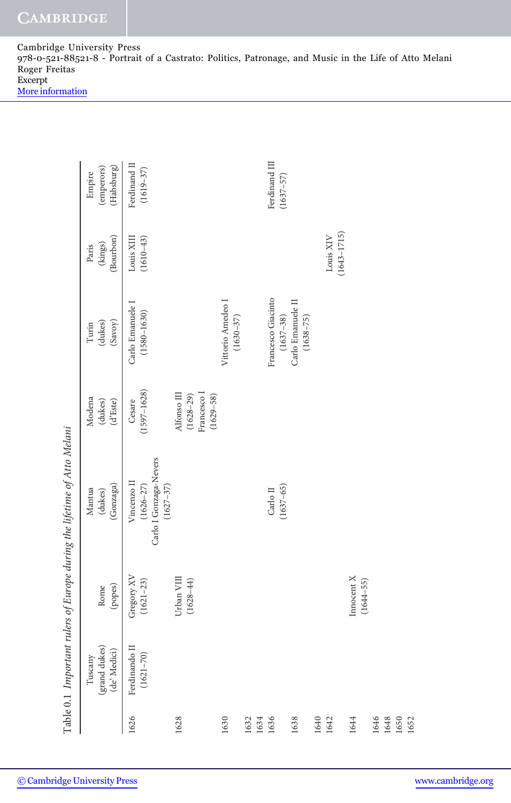|                                                                         | (emperors)<br>(Habsburg)<br>Empire       | Ferdinand II<br>$(1619 - 37)$                                           |                                                              |                                    |              | Ferdinand III<br>$(1637 - 57)$      |                                    |                                |                               |                              |
|-------------------------------------------------------------------------|------------------------------------------|-------------------------------------------------------------------------|--------------------------------------------------------------|------------------------------------|--------------|-------------------------------------|------------------------------------|--------------------------------|-------------------------------|------------------------------|
|                                                                         | (Bourbon)<br>(kings)<br>Paris            | $(1610 - 43)$<br>Louis XIII                                             |                                                              |                                    |              |                                     |                                    | $(1643 - 1715)$<br>Louis $XIV$ |                               |                              |
|                                                                         | (dukes)<br>(Savoy)<br>Turin              | Carlo Emanuele I<br>$(1580 - 1630)$                                     |                                                              | Vittorio Amedeo I<br>$(1630 - 37)$ |              | Francesco Giacinto<br>$(1637 - 38)$ | Carlo Emanuele II<br>$(1638 - 75)$ |                                |                               |                              |
|                                                                         | Modena<br>(dukes)<br>(d'Este)            | $(1597 - 1628)$<br>Cesare                                               | Francesco I<br>Alfonso III<br>$(1629 - 58)$<br>$(1628 - 29)$ |                                    |              |                                     |                                    |                                |                               |                              |
| Table 0.1 Important rulers of Europe during the lifetime of Atto Melani | (Gonzaga)<br>Mantua<br>(dukes)           | Carlo I Gonzaga-Nevers<br>Vincenzo II<br>$(1626 - 27)$<br>$(1627 - 37)$ |                                                              |                                    |              | $(1637 - 65)$<br>Carlo II           |                                    |                                |                               |                              |
|                                                                         | (popes)<br>Rome                          | Gregory XV<br>$(1621 - 23)$                                             | Urban VIII<br>$(1628 - 44)$                                  |                                    |              |                                     |                                    |                                | Innocent $X$<br>$(1644 - 55)$ |                              |
|                                                                         | (grand dukes)<br>(de' Medici)<br>Tuscany | Ferdinando II<br>$(1621 - 70)$                                          |                                                              |                                    |              |                                     |                                    |                                |                               |                              |
|                                                                         |                                          | 1626                                                                    | 1628                                                         | 1630                               | 1632<br>1634 | 1636                                | 1638                               | 1640<br>1642                   | 1644                          | 1648<br>1650<br>1646<br>1652 |

[More information](http://www.cambridge.org/9780521885218)

**CAMBRIDGE**